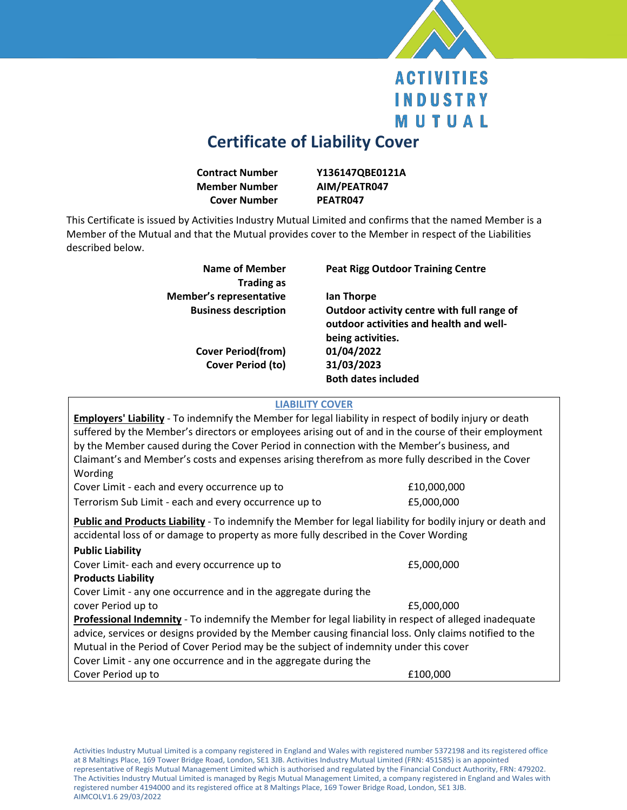

## **ACTIVITIES INDUSTRY** MUTUAL

## **Certificate of Liability Cover**

| <b>Contract Number</b> | Y136147QBE0121A |
|------------------------|-----------------|
| <b>Member Number</b>   | AIM/PEATR047    |
| <b>Cover Number</b>    | PEATR047        |

This Certificate is issued by Activities Industry Mutual Limited and confirms that the named Member is a Member of the Mutual and that the Mutual provides cover to the Member in respect of the Liabilities described below.

| Name of Member<br><b>Trading as</b> | <b>Peat Rigg Outdoor Training Centre</b>                                                                   |
|-------------------------------------|------------------------------------------------------------------------------------------------------------|
| <b>Member's representative</b>      | lan Thorpe                                                                                                 |
| <b>Business description</b>         | Outdoor activity centre with full range of<br>outdoor activities and health and well-<br>being activities. |
| <b>Cover Period(from)</b>           | 01/04/2022                                                                                                 |
| Cover Period (to)                   | 31/03/2023                                                                                                 |
|                                     | <b>Both dates included</b>                                                                                 |

## **LIABILITY COVER**

| <b>Employers' Liability</b> - To indemnify the Member for legal liability in respect of bodily injury or death<br>suffered by the Member's directors or employees arising out of and in the course of their employment<br>by the Member caused during the Cover Period in connection with the Member's business, and<br>Claimant's and Member's costs and expenses arising therefrom as more fully described in the Cover<br>Wording |             |  |
|--------------------------------------------------------------------------------------------------------------------------------------------------------------------------------------------------------------------------------------------------------------------------------------------------------------------------------------------------------------------------------------------------------------------------------------|-------------|--|
| Cover Limit - each and every occurrence up to                                                                                                                                                                                                                                                                                                                                                                                        | £10,000,000 |  |
| Terrorism Sub Limit - each and every occurrence up to                                                                                                                                                                                                                                                                                                                                                                                | £5,000,000  |  |
| Public and Products Liability - To indemnify the Member for legal liability for bodily injury or death and<br>accidental loss of or damage to property as more fully described in the Cover Wording<br><b>Public Liability</b>                                                                                                                                                                                                       |             |  |
| Cover Limit- each and every occurrence up to                                                                                                                                                                                                                                                                                                                                                                                         | £5,000,000  |  |
| <b>Products Liability</b>                                                                                                                                                                                                                                                                                                                                                                                                            |             |  |
| Cover Limit - any one occurrence and in the aggregate during the                                                                                                                                                                                                                                                                                                                                                                     |             |  |
| cover Period up to                                                                                                                                                                                                                                                                                                                                                                                                                   | £5,000,000  |  |
| Professional Indemnity - To indemnify the Member for legal liability in respect of alleged inadequate                                                                                                                                                                                                                                                                                                                                |             |  |
| advice, services or designs provided by the Member causing financial loss. Only claims notified to the                                                                                                                                                                                                                                                                                                                               |             |  |
| Mutual in the Period of Cover Period may be the subject of indemnity under this cover                                                                                                                                                                                                                                                                                                                                                |             |  |
| Cover Limit - any one occurrence and in the aggregate during the                                                                                                                                                                                                                                                                                                                                                                     |             |  |
| Cover Period up to                                                                                                                                                                                                                                                                                                                                                                                                                   | £100,000    |  |
|                                                                                                                                                                                                                                                                                                                                                                                                                                      |             |  |

Activities Industry Mutual Limited is a company registered in England and Wales with registered number 5372198 and its registered office at 8 Maltings Place, 169 Tower Bridge Road, London, SE1 3JB. Activities Industry Mutual Limited (FRN: 451585) is an appointed representative of Regis Mutual Management Limited which is authorised and regulated by the Financial Conduct Authority, FRN: 479202. The Activities Industry Mutual Limited is managed by Regis Mutual Management Limited, a company registered in England and Wales with registered number 4194000 and its registered office at 8 Maltings Place, 169 Tower Bridge Road, London, SE1 3JB. AIMCOLV1.6 29/03/2022